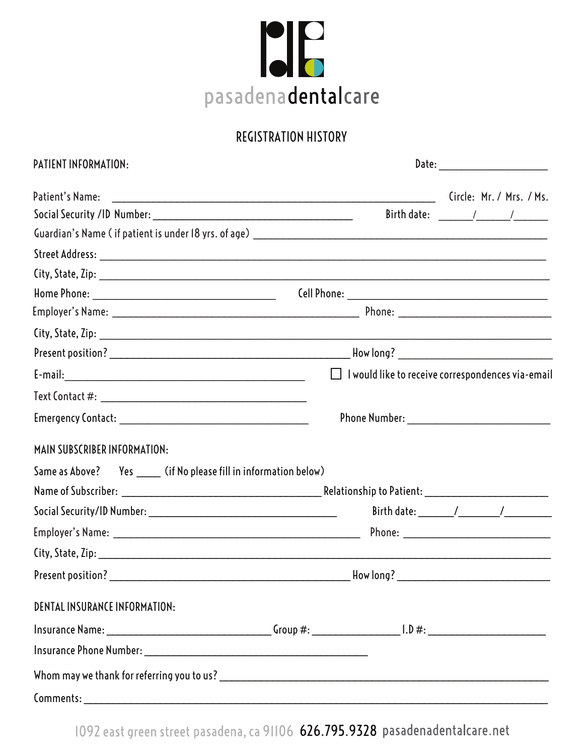

## REGISTRATION HISTORY

| PATIENT INFORMATION:                                               | Date: _________________________                          |  |  |  |  |
|--------------------------------------------------------------------|----------------------------------------------------------|--|--|--|--|
| Patient's Name:                                                    | Circle: Mr. / Mrs. / Ms.                                 |  |  |  |  |
|                                                                    |                                                          |  |  |  |  |
|                                                                    |                                                          |  |  |  |  |
|                                                                    |                                                          |  |  |  |  |
|                                                                    |                                                          |  |  |  |  |
|                                                                    |                                                          |  |  |  |  |
|                                                                    |                                                          |  |  |  |  |
|                                                                    |                                                          |  |  |  |  |
|                                                                    |                                                          |  |  |  |  |
|                                                                    | $\Box$ I would like to receive correspondences via-email |  |  |  |  |
|                                                                    |                                                          |  |  |  |  |
|                                                                    | Phone Number: _______________________________            |  |  |  |  |
| MAIN SUBSCRIBER INFORMATION:                                       |                                                          |  |  |  |  |
| Same as Above? Yes ______ (if No please fill in information below) |                                                          |  |  |  |  |
|                                                                    |                                                          |  |  |  |  |
|                                                                    |                                                          |  |  |  |  |
|                                                                    |                                                          |  |  |  |  |
|                                                                    |                                                          |  |  |  |  |
|                                                                    |                                                          |  |  |  |  |
| DENTAL INSURANCE INFORMATION:                                      |                                                          |  |  |  |  |
|                                                                    |                                                          |  |  |  |  |
|                                                                    |                                                          |  |  |  |  |
|                                                                    |                                                          |  |  |  |  |
|                                                                    |                                                          |  |  |  |  |

1092 east green street pasadena, ca 91106 626.795.9328 pasadenadentalcare.net